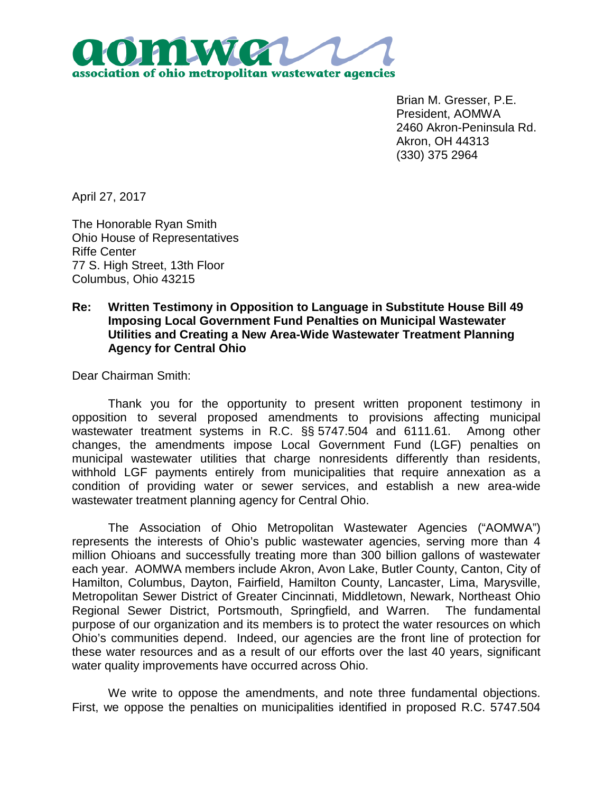

Brian M. Gresser, P.E. President, AOMWA 2460 Akron-Peninsula Rd. Akron, OH 44313 (330) 375 2964

April 27, 2017

The Honorable Ryan Smith Ohio House of Representatives Riffe Center 77 S. High Street, 13th Floor Columbus, Ohio 43215

## **Re: Written Testimony in Opposition to Language in Substitute House Bill 49 Imposing Local Government Fund Penalties on Municipal Wastewater Utilities and Creating a New Area-Wide Wastewater Treatment Planning Agency for Central Ohio**

Dear Chairman Smith:

Thank you for the opportunity to present written proponent testimony in opposition to several proposed amendments to provisions affecting municipal wastewater treatment systems in R.C. §§ 5747.504 and 6111.61. Among other changes, the amendments impose Local Government Fund (LGF) penalties on municipal wastewater utilities that charge nonresidents differently than residents, withhold LGF payments entirely from municipalities that require annexation as a condition of providing water or sewer services, and establish a new area-wide wastewater treatment planning agency for Central Ohio.

The Association of Ohio Metropolitan Wastewater Agencies ("AOMWA") represents the interests of Ohio's public wastewater agencies, serving more than 4 million Ohioans and successfully treating more than 300 billion gallons of wastewater each year. AOMWA members include Akron, Avon Lake, Butler County, Canton, City of Hamilton, Columbus, Dayton, Fairfield, Hamilton County, Lancaster, Lima, Marysville, Metropolitan Sewer District of Greater Cincinnati, Middletown, Newark, Northeast Ohio Regional Sewer District, Portsmouth, Springfield, and Warren. The fundamental purpose of our organization and its members is to protect the water resources on which Ohio's communities depend. Indeed, our agencies are the front line of protection for these water resources and as a result of our efforts over the last 40 years, significant water quality improvements have occurred across Ohio.

We write to oppose the amendments, and note three fundamental objections. First, we oppose the penalties on municipalities identified in proposed R.C. 5747.504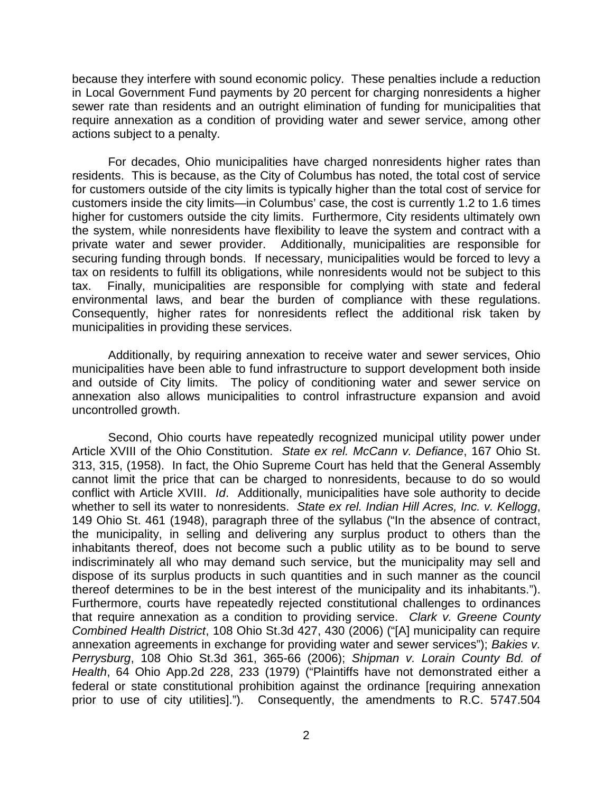because they interfere with sound economic policy. These penalties include a reduction in Local Government Fund payments by 20 percent for charging nonresidents a higher sewer rate than residents and an outright elimination of funding for municipalities that require annexation as a condition of providing water and sewer service, among other actions subject to a penalty.

For decades, Ohio municipalities have charged nonresidents higher rates than residents. This is because, as the City of Columbus has noted, the total cost of service for customers outside of the city limits is typically higher than the total cost of service for customers inside the city limits—in Columbus' case, the cost is currently 1.2 to 1.6 times higher for customers outside the city limits. Furthermore, City residents ultimately own the system, while nonresidents have flexibility to leave the system and contract with a private water and sewer provider. Additionally, municipalities are responsible for securing funding through bonds. If necessary, municipalities would be forced to levy a tax on residents to fulfill its obligations, while nonresidents would not be subject to this tax. Finally, municipalities are responsible for complying with state and federal environmental laws, and bear the burden of compliance with these regulations. Consequently, higher rates for nonresidents reflect the additional risk taken by municipalities in providing these services.

Additionally, by requiring annexation to receive water and sewer services, Ohio municipalities have been able to fund infrastructure to support development both inside and outside of City limits. The policy of conditioning water and sewer service on annexation also allows municipalities to control infrastructure expansion and avoid uncontrolled growth.

Second, Ohio courts have repeatedly recognized municipal utility power under Article XVIII of the Ohio Constitution. *State ex rel. McCann v. Defiance*, 167 Ohio St. 313, 315, (1958). In fact, the Ohio Supreme Court has held that the General Assembly cannot limit the price that can be charged to nonresidents, because to do so would conflict with Article XVIII. *Id*. Additionally, municipalities have sole authority to decide whether to sell its water to nonresidents. *State ex rel. Indian Hill Acres, Inc. v. Kellogg*, 149 Ohio St. 461 (1948), paragraph three of the syllabus ("In the absence of contract, the municipality, in selling and delivering any surplus product to others than the inhabitants thereof, does not become such a public utility as to be bound to serve indiscriminately all who may demand such service, but the municipality may sell and dispose of its surplus products in such quantities and in such manner as the council thereof determines to be in the best interest of the municipality and its inhabitants."). Furthermore, courts have repeatedly rejected constitutional challenges to ordinances that require annexation as a condition to providing service. *Clark v. Greene County Combined Health District*, 108 Ohio St.3d 427, 430 (2006) ("[A] municipality can require annexation agreements in exchange for providing water and sewer services"); *Bakies v. Perrysburg*, 108 Ohio St.3d 361, 365-66 (2006); *Shipman v. Lorain County Bd. of Health*, 64 Ohio App.2d 228, 233 (1979) ("Plaintiffs have not demonstrated either a federal or state constitutional prohibition against the ordinance [requiring annexation prior to use of city utilities]."). Consequently, the amendments to R.C. 5747.504